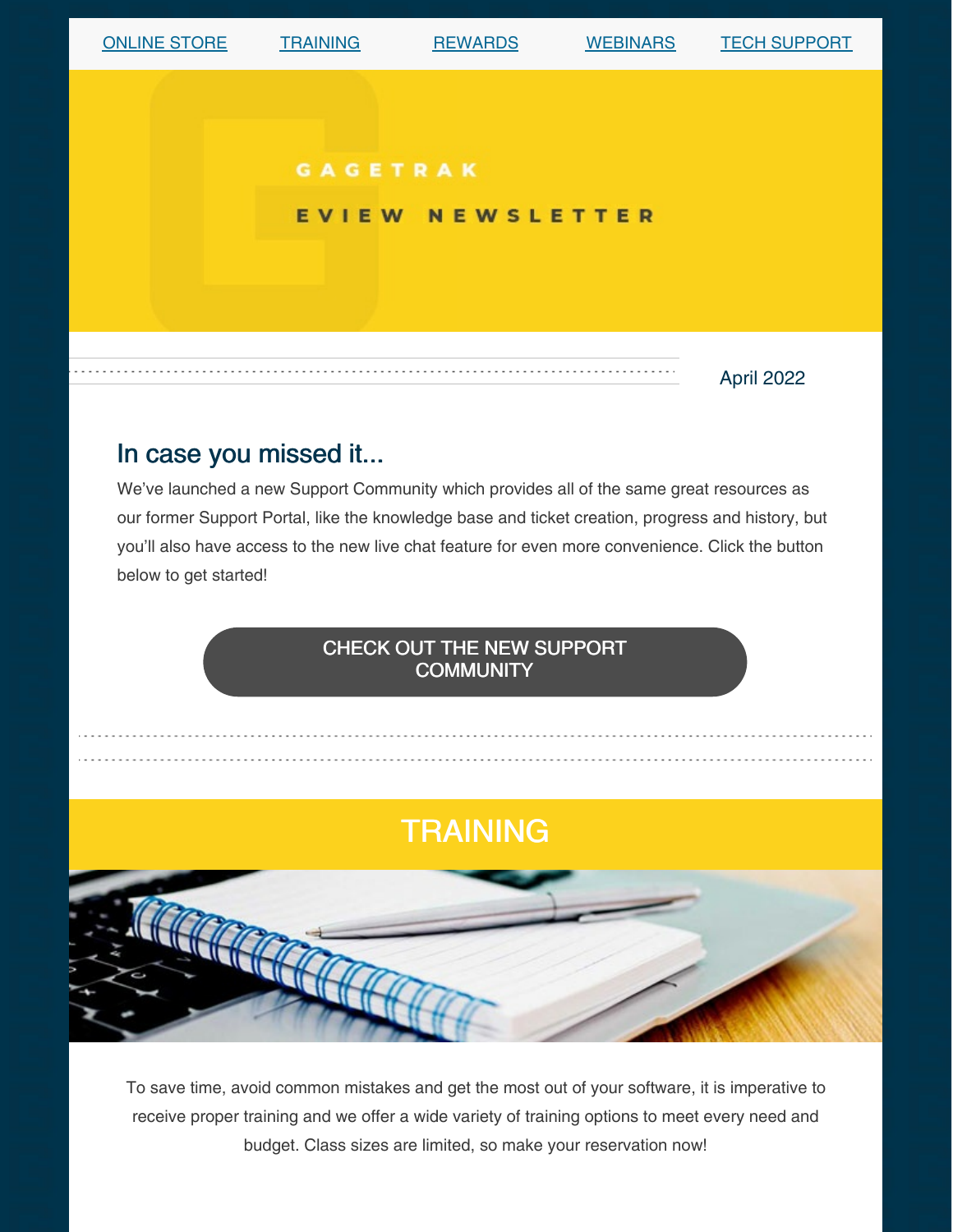

## In case you missed it...

We've launched a new Support Community which provides all of the same great resources as our former Support Portal, like the knowledge base and ticket creation, progress and history, but you'll also have access to the new live chat feature for even more convenience. Click the button below to get started!

### CHECK OUT THE NEW SUPPORT [COMMUNITY](https://gagetrak.com/support/#community)

## **TRAINING**



To save time, avoid common mistakes and get the most out of your software, it is imperative to receive proper training and we offer a wide variety of training options to meet every need and budget. Class sizes are limited, so make your reservation now!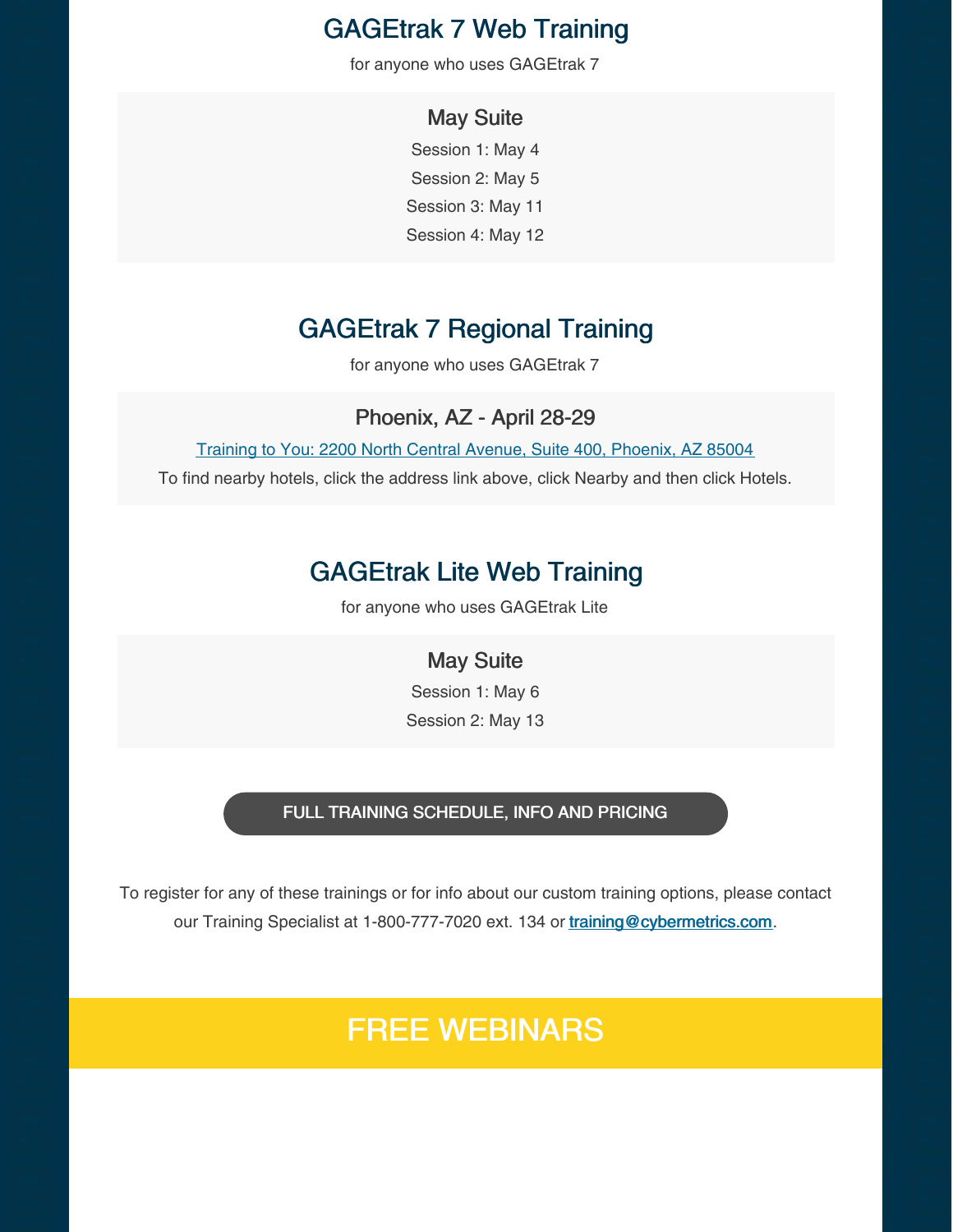## GAGEtrak 7 Web Training

for anyone who uses GAGEtrak 7

#### May Suite

Session 1: May 4 Session 2: May 5 Session 3: May 11 Session 4: May 12

## GAGEtrak 7 Regional Training

for anyone who uses GAGEtrak 7

#### Phoenix, AZ - April 28-29

Training to You: 2200 North Central Avenue, Suite 400, [Phoenix,](https://g.page/training-to-you?share) AZ 85004

To find nearby hotels, click the address link above, click Nearby and then click Hotels.

### GAGEtrak Lite Web Training

for anyone who uses GAGEtrak Lite

#### May Suite

Session 1: May 6 Session 2: May 13

#### FULL TRAINING [SCHEDULE,](https://gagetrak.com/training-schedule/) INFO AND PRICING

To register for any of these trainings or for info about our custom training options, please contact our Training Specialist at 1-800-777-7020 ext. 134 or [training@cybermetrics.com](mailto:training@cybermetrics.com).

## FREE WEBINARS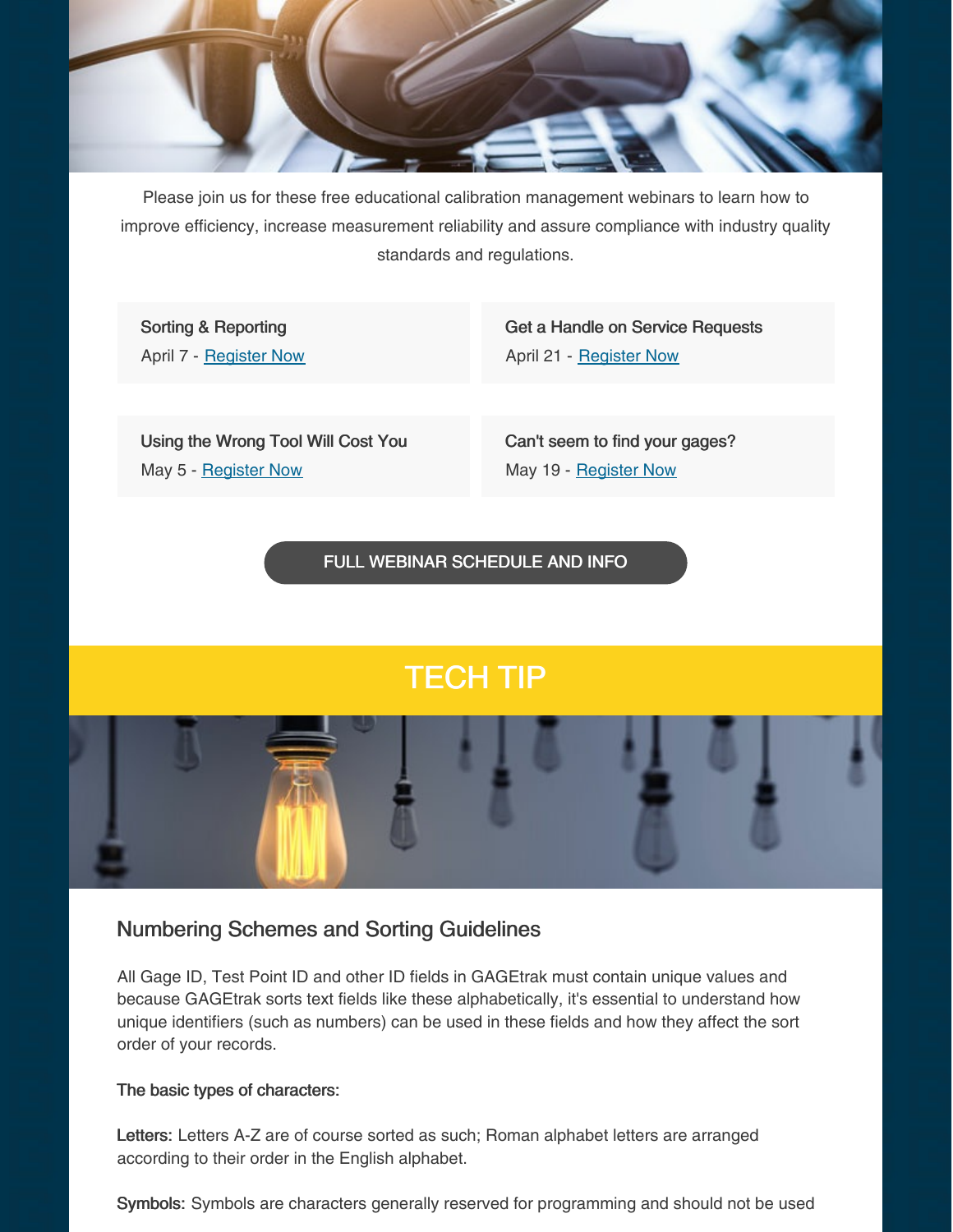

Please join us for these free educational calibration management webinars to learn how to improve efficiency, increase measurement reliability and assure compliance with industry quality standards and regulations.

Sorting & Reporting April 7 - [Register](https://attendee.gotowebinar.com/register/7010957150675132427) Now Get a Handle on Service Requests April 21 - [Register](https://attendee.gotowebinar.com/register/1183847889159994895) Now

Using the Wrong Tool Will Cost You May 5 - [Register](https://attendee.gotowebinar.com/register/8132860333831064588) Now

Can't seem to find your gages? May 19 - [Register](https://attendee.gotowebinar.com/register/7325371297811016206) Now

FULL WEBINAR [SCHEDULE](https://gagetrak.com/webinars/) AND INFO

# TECH TIP

Numbering Schemes and Sorting Guidelines

All Gage ID, Test Point ID and other ID fields in GAGEtrak must contain unique values and because GAGEtrak sorts text fields like these alphabetically, it's essential to understand how unique identifiers (such as numbers) can be used in these fields and how they affect the sort order of your records.

#### The basic types of characters:

Letters: Letters A-Z are of course sorted as such; Roman alphabet letters are arranged according to their order in the English alphabet.

Symbols: Symbols are characters generally reserved for programming and should not be used